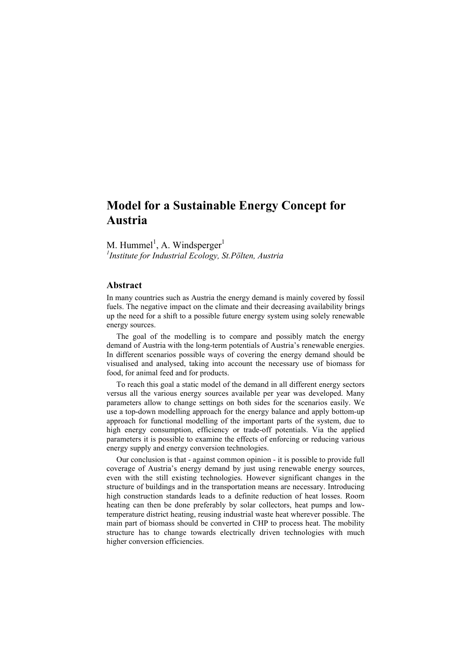# **Model for a Sustainable Energy Concept for Austria**

M. Hummel<sup>1</sup>, A. Windsperger<sup>1</sup> *1 Institute for Industrial Ecology, St.Pölten, Austria*

#### **Abstract**

In many countries such as Austria the energy demand is mainly covered by fossil fuels. The negative impact on the climate and their decreasing availability brings up the need for a shift to a possible future energy system using solely renewable energy sources.

 The goal of the modelling is to compare and possibly match the energy demand of Austria with the long-term potentials of Austria's renewable energies. In different scenarios possible ways of covering the energy demand should be visualised and analysed, taking into account the necessary use of biomass for food, for animal feed and for products.

 To reach this goal a static model of the demand in all different energy sectors versus all the various energy sources available per year was developed. Many parameters allow to change settings on both sides for the scenarios easily. We use a top-down modelling approach for the energy balance and apply bottom-up approach for functional modelling of the important parts of the system, due to high energy consumption, efficiency or trade-off potentials. Via the applied parameters it is possible to examine the effects of enforcing or reducing various energy supply and energy conversion technologies.

 Our conclusion is that - against common opinion - it is possible to provide full coverage of Austria's energy demand by just using renewable energy sources, even with the still existing technologies. However significant changes in the structure of buildings and in the transportation means are necessary. Introducing high construction standards leads to a definite reduction of heat losses. Room heating can then be done preferably by solar collectors, heat pumps and lowtemperature district heating, reusing industrial waste heat wherever possible. The main part of biomass should be converted in CHP to process heat. The mobility structure has to change towards electrically driven technologies with much higher conversion efficiencies.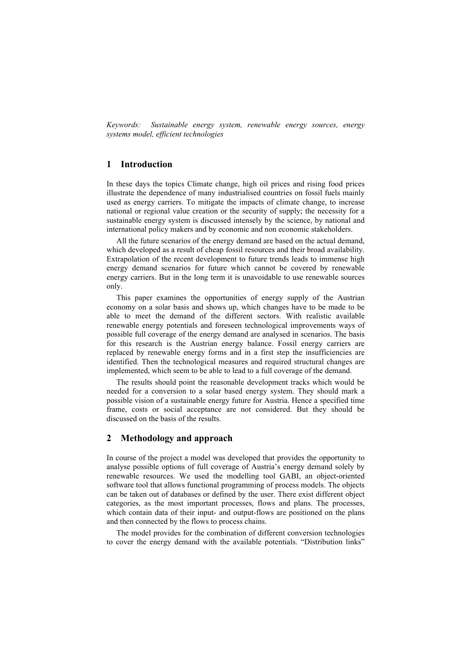*Keywords: Sustainable energy system, renewable energy sources, energy systems model, efficient technologies*

## **1 Introduction**

In these days the topics Climate change, high oil prices and rising food prices illustrate the dependence of many industrialised countries on fossil fuels mainly used as energy carriers. To mitigate the impacts of climate change, to increase national or regional value creation or the security of supply; the necessity for a sustainable energy system is discussed intensely by the science, by national and international policy makers and by economic and non economic stakeholders.

 All the future scenarios of the energy demand are based on the actual demand, which developed as a result of cheap fossil resources and their broad availability. Extrapolation of the recent development to future trends leads to immense high energy demand scenarios for future which cannot be covered by renewable energy carriers. But in the long term it is unavoidable to use renewable sources only.

 This paper examines the opportunities of energy supply of the Austrian economy on a solar basis and shows up, which changes have to be made to be able to meet the demand of the different sectors. With realistic available renewable energy potentials and foreseen technological improvements ways of possible full coverage of the energy demand are analysed in scenarios. The basis for this research is the Austrian energy balance. Fossil energy carriers are replaced by renewable energy forms and in a first step the insufficiencies are identified. Then the technological measures and required structural changes are implemented, which seem to be able to lead to a full coverage of the demand.

 The results should point the reasonable development tracks which would be needed for a conversion to a solar based energy system. They should mark a possible vision of a sustainable energy future for Austria. Hence a specified time frame, costs or social acceptance are not considered. But they should be discussed on the basis of the results.

### **2 Methodology and approach**

In course of the project a model was developed that provides the opportunity to analyse possible options of full coverage of Austria's energy demand solely by renewable resources. We used the modelling tool GABI, an object-oriented software tool that allows functional programming of process models. The objects can be taken out of databases or defined by the user. There exist different object categories, as the most important processes, flows and plans. The processes, which contain data of their input- and output-flows are positioned on the plans and then connected by the flows to process chains.

 The model provides for the combination of different conversion technologies to cover the energy demand with the available potentials. "Distribution links"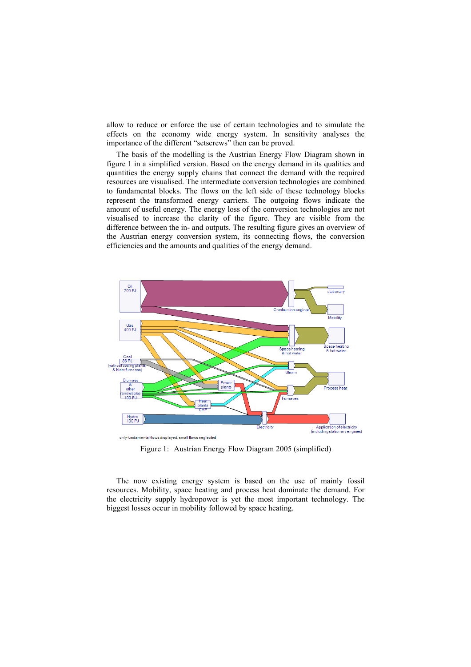allow to reduce or enforce the use of certain technologies and to simulate the effects on the economy wide energy system. In sensitivity analyses the importance of the different "setscrews" then can be proved.

 The basis of the modelling is the Austrian Energy Flow Diagram shown in figure 1 in a simplified version. Based on the energy demand in its qualities and quantities the energy supply chains that connect the demand with the required resources are visualised. The intermediate conversion technologies are combined to fundamental blocks. The flows on the left side of these technology blocks represent the transformed energy carriers. The outgoing flows indicate the amount of useful energy. The energy loss of the conversion technologies are not visualised to increase the clarity of the figure. They are visible from the difference between the in- and outputs. The resulting figure gives an overview of the Austrian energy conversion system, its connecting flows, the conversion efficiencies and the amounts and qualities of the energy demand.



Figure 1: Austrian Energy Flow Diagram 2005 (simplified)

 The now existing energy system is based on the use of mainly fossil resources. Mobility, space heating and process heat dominate the demand. For the electricity supply hydropower is yet the most important technology. The biggest losses occur in mobility followed by space heating.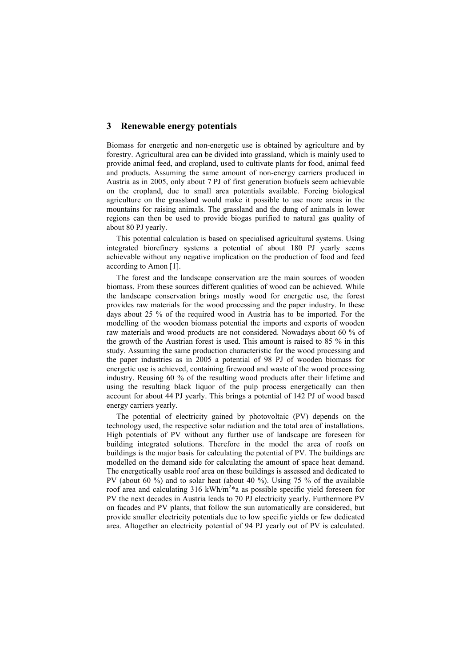#### **3 Renewable energy potentials**

Biomass for energetic and non-energetic use is obtained by agriculture and by forestry. Agricultural area can be divided into grassland, which is mainly used to provide animal feed, and cropland, used to cultivate plants for food, animal feed and products. Assuming the same amount of non-energy carriers produced in Austria as in 2005, only about 7 PJ of first generation biofuels seem achievable on the cropland, due to small area potentials available. Forcing biological agriculture on the grassland would make it possible to use more areas in the mountains for raising animals. The grassland and the dung of animals in lower regions can then be used to provide biogas purified to natural gas quality of about 80 PJ yearly.

 This potential calculation is based on specialised agricultural systems. Using integrated biorefinery systems a potential of about 180 PJ yearly seems achievable without any negative implication on the production of food and feed according to Amon [1].

 The forest and the landscape conservation are the main sources of wooden biomass. From these sources different qualities of wood can be achieved. While the landscape conservation brings mostly wood for energetic use, the forest provides raw materials for the wood processing and the paper industry. In these days about 25 % of the required wood in Austria has to be imported. For the modelling of the wooden biomass potential the imports and exports of wooden raw materials and wood products are not considered. Nowadays about 60 % of the growth of the Austrian forest is used. This amount is raised to 85 % in this study. Assuming the same production characteristic for the wood processing and the paper industries as in 2005 a potential of 98 PJ of wooden biomass for energetic use is achieved, containing firewood and waste of the wood processing industry. Reusing 60 % of the resulting wood products after their lifetime and using the resulting black liquor of the pulp process energetically can then account for about 44 PJ yearly. This brings a potential of 142 PJ of wood based energy carriers yearly.

 The potential of electricity gained by photovoltaic (PV) depends on the technology used, the respective solar radiation and the total area of installations. High potentials of PV without any further use of landscape are foreseen for building integrated solutions. Therefore in the model the area of roofs on buildings is the major basis for calculating the potential of PV. The buildings are modelled on the demand side for calculating the amount of space heat demand. The energetically usable roof area on these buildings is assessed and dedicated to PV (about 60 %) and to solar heat (about 40 %). Using 75 % of the available roof area and calculating 316 kWh/m<sup>2\*</sup>a as possible specific yield foreseen for PV the next decades in Austria leads to 70 PJ electricity yearly. Furthermore PV on facades and PV plants, that follow the sun automatically are considered, but provide smaller electricity potentials due to low specific yields or few dedicated area. Altogether an electricity potential of 94 PJ yearly out of PV is calculated.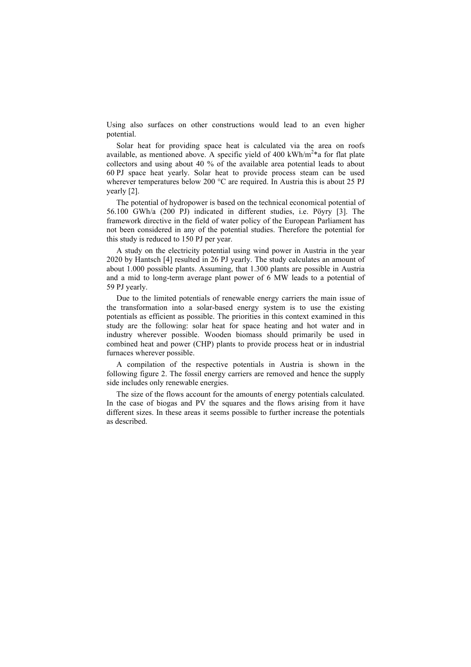Using also surfaces on other constructions would lead to an even higher potential.

 Solar heat for providing space heat is calculated via the area on roofs available, as mentioned above. A specific yield of 400 kWh/m<sup>2 $*$ </sup>a for flat plate collectors and using about 40 % of the available area potential leads to about 60 PJ space heat yearly. Solar heat to provide process steam can be used wherever temperatures below 200 °C are required. In Austria this is about 25 PJ yearly [2].

 The potential of hydropower is based on the technical economical potential of 56.100 GWh/a (200 PJ) indicated in different studies, i.e. Pöyry [3]. The framework directive in the field of water policy of the European Parliament has not been considered in any of the potential studies. Therefore the potential for this study is reduced to 150 PJ per year.

 A study on the electricity potential using wind power in Austria in the year 2020 by Hantsch [4] resulted in 26 PJ yearly. The study calculates an amount of about 1.000 possible plants. Assuming, that 1.300 plants are possible in Austria and a mid to long-term average plant power of 6 MW leads to a potential of 59 PJ yearly.

 Due to the limited potentials of renewable energy carriers the main issue of the transformation into a solar-based energy system is to use the existing potentials as efficient as possible. The priorities in this context examined in this study are the following: solar heat for space heating and hot water and in industry wherever possible. Wooden biomass should primarily be used in combined heat and power (CHP) plants to provide process heat or in industrial furnaces wherever possible.

 A compilation of the respective potentials in Austria is shown in the following figure 2. The fossil energy carriers are removed and hence the supply side includes only renewable energies.

 The size of the flows account for the amounts of energy potentials calculated. In the case of biogas and PV the squares and the flows arising from it have different sizes. In these areas it seems possible to further increase the potentials as described.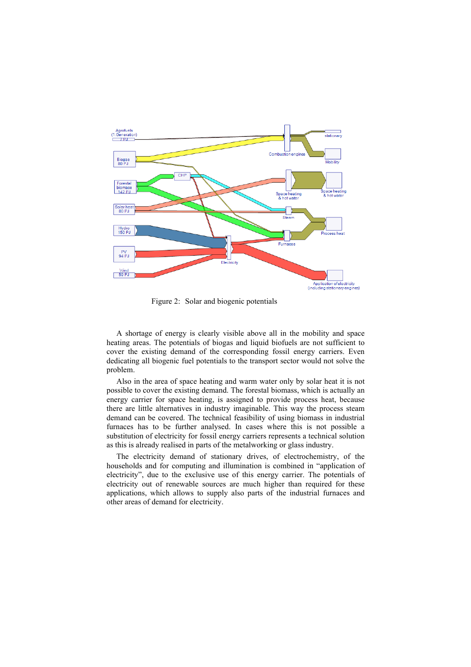

Figure 2: Solar and biogenic potentials

 A shortage of energy is clearly visible above all in the mobility and space heating areas. The potentials of biogas and liquid biofuels are not sufficient to cover the existing demand of the corresponding fossil energy carriers. Even dedicating all biogenic fuel potentials to the transport sector would not solve the problem.

 Also in the area of space heating and warm water only by solar heat it is not possible to cover the existing demand. The forestal biomass, which is actually an energy carrier for space heating, is assigned to provide process heat, because there are little alternatives in industry imaginable. This way the process steam demand can be covered. The technical feasibility of using biomass in industrial furnaces has to be further analysed. In cases where this is not possible a substitution of electricity for fossil energy carriers represents a technical solution as this is already realised in parts of the metalworking or glass industry.

 The electricity demand of stationary drives, of electrochemistry, of the households and for computing and illumination is combined in "application of electricity", due to the exclusive use of this energy carrier. The potentials of electricity out of renewable sources are much higher than required for these applications, which allows to supply also parts of the industrial furnaces and other areas of demand for electricity.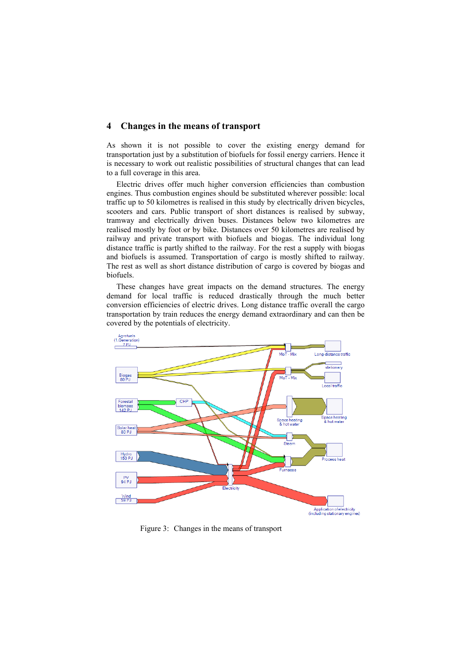## **4 Changes in the means of transport**

As shown it is not possible to cover the existing energy demand for transportation just by a substitution of biofuels for fossil energy carriers. Hence it is necessary to work out realistic possibilities of structural changes that can lead to a full coverage in this area.

 Electric drives offer much higher conversion efficiencies than combustion engines. Thus combustion engines should be substituted wherever possible: local traffic up to 50 kilometres is realised in this study by electrically driven bicycles, scooters and cars. Public transport of short distances is realised by subway, tramway and electrically driven buses. Distances below two kilometres are realised mostly by foot or by bike. Distances over 50 kilometres are realised by railway and private transport with biofuels and biogas. The individual long distance traffic is partly shifted to the railway. For the rest a supply with biogas and biofuels is assumed. Transportation of cargo is mostly shifted to railway. The rest as well as short distance distribution of cargo is covered by biogas and biofuels.

 These changes have great impacts on the demand structures. The energy demand for local traffic is reduced drastically through the much better conversion efficiencies of electric drives. Long distance traffic overall the cargo transportation by train reduces the energy demand extraordinary and can then be covered by the potentials of electricity.



Figure 3: Changes in the means of transport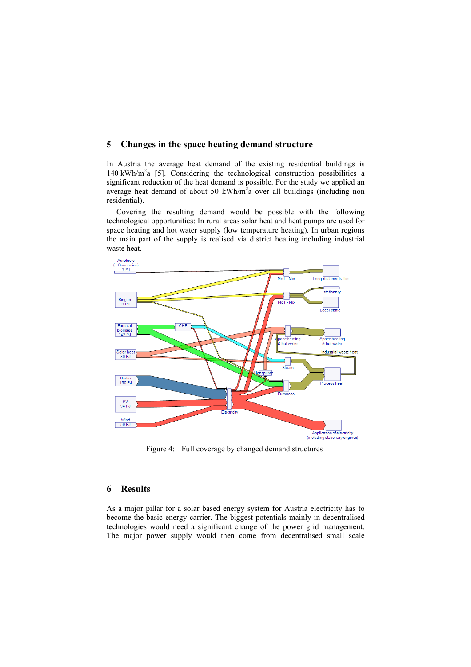## **5 Changes in the space heating demand structure**

In Austria the average heat demand of the existing residential buildings is 140 kWh/m<sup>2</sup>a [5]. Considering the technological construction possibilities a significant reduction of the heat demand is possible. For the study we applied an average heat demand of about 50 kWh/ $m<sup>2</sup>a$  over all buildings (including non residential).

 Covering the resulting demand would be possible with the following technological opportunities: In rural areas solar heat and heat pumps are used for space heating and hot water supply (low temperature heating). In urban regions the main part of the supply is realised via district heating including industrial waste heat.



Figure 4: Full coverage by changed demand structures

## **6 Results**

As a major pillar for a solar based energy system for Austria electricity has to become the basic energy carrier. The biggest potentials mainly in decentralised technologies would need a significant change of the power grid management. The major power supply would then come from decentralised small scale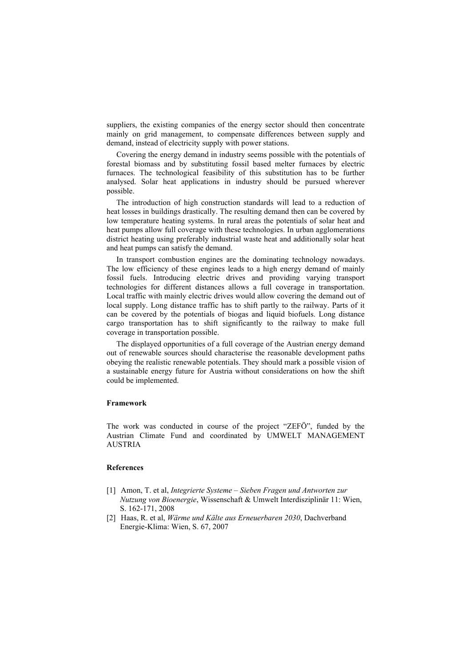suppliers, the existing companies of the energy sector should then concentrate mainly on grid management, to compensate differences between supply and demand, instead of electricity supply with power stations.

 Covering the energy demand in industry seems possible with the potentials of forestal biomass and by substituting fossil based melter furnaces by electric furnaces. The technological feasibility of this substitution has to be further analysed. Solar heat applications in industry should be pursued wherever possible.

 The introduction of high construction standards will lead to a reduction of heat losses in buildings drastically. The resulting demand then can be covered by low temperature heating systems. In rural areas the potentials of solar heat and heat pumps allow full coverage with these technologies. In urban agglomerations district heating using preferably industrial waste heat and additionally solar heat and heat pumps can satisfy the demand.

 In transport combustion engines are the dominating technology nowadays. The low efficiency of these engines leads to a high energy demand of mainly fossil fuels. Introducing electric drives and providing varying transport technologies for different distances allows a full coverage in transportation. Local traffic with mainly electric drives would allow covering the demand out of local supply. Long distance traffic has to shift partly to the railway. Parts of it can be covered by the potentials of biogas and liquid biofuels. Long distance cargo transportation has to shift significantly to the railway to make full coverage in transportation possible.

 The displayed opportunities of a full coverage of the Austrian energy demand out of renewable sources should characterise the reasonable development paths obeying the realistic renewable potentials. They should mark a possible vision of a sustainable energy future for Austria without considerations on how the shift could be implemented.

#### **Framework**

The work was conducted in course of the project "ZEFÖ", funded by the Austrian Climate Fund and coordinated by UMWELT MANAGEMENT AUSTRIA

#### **References**

- [1] Amon, T. et al, *Integrierte Systeme Sieben Fragen und Antworten zur Nutzung von Bioenergie*, Wissenschaft & Umwelt Interdisziplinär 11: Wien, S. 162-171, 2008
- [2] Haas, R. et al, *Wärme und Kälte aus Erneuerbaren 2030*, Dachverband Energie-Klima: Wien, S. 67, 2007